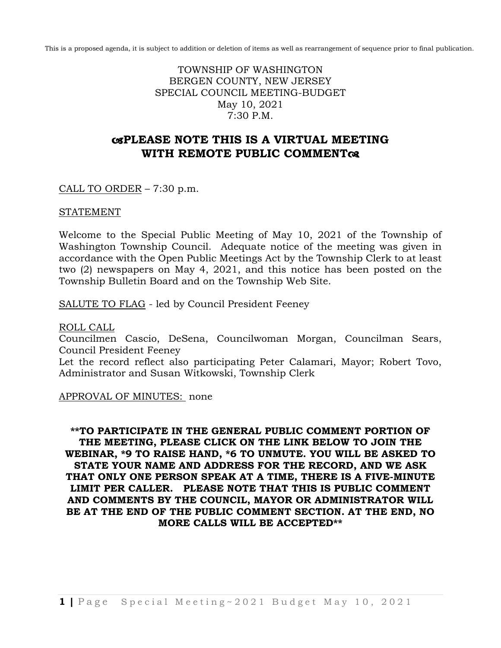This is a proposed agenda, it is subject to addition or deletion of items as well as rearrangement of sequence prior to final publication.

TOWNSHIP OF WASHINGTON BERGEN COUNTY, NEW JERSEY SPECIAL COUNCIL MEETING-BUDGET May 10, 2021 7:30 P.M.

# **PLEASE NOTE THIS IS A VIRTUAL MEETING WITH REMOTE PUBLIC COMMENT**

## CALL TO ORDER – 7:30 p.m.

### STATEMENT

Welcome to the Special Public Meeting of May 10, 2021 of the Township of Washington Township Council. Adequate notice of the meeting was given in accordance with the Open Public Meetings Act by the Township Clerk to at least two (2) newspapers on May 4, 2021, and this notice has been posted on the Township Bulletin Board and on the Township Web Site.

SALUTE TO FLAG - led by Council President Feeney

#### ROLL CALL

Councilmen Cascio, DeSena, Councilwoman Morgan, Councilman Sears, Council President Feeney

Let the record reflect also participating Peter Calamari, Mayor; Robert Tovo, Administrator and Susan Witkowski, Township Clerk

APPROVAL OF MINUTES: none

**\*\*TO PARTICIPATE IN THE GENERAL PUBLIC COMMENT PORTION OF THE MEETING, PLEASE CLICK ON THE LINK BELOW TO JOIN THE WEBINAR, \*9 TO RAISE HAND, \*6 TO UNMUTE. YOU WILL BE ASKED TO STATE YOUR NAME AND ADDRESS FOR THE RECORD, AND WE ASK THAT ONLY ONE PERSON SPEAK AT A TIME, THERE IS A FIVE-MINUTE LIMIT PER CALLER. PLEASE NOTE THAT THIS IS PUBLIC COMMENT AND COMMENTS BY THE COUNCIL, MAYOR OR ADMINISTRATOR WILL BE AT THE END OF THE PUBLIC COMMENT SECTION. AT THE END, NO MORE CALLS WILL BE ACCEPTED\*\***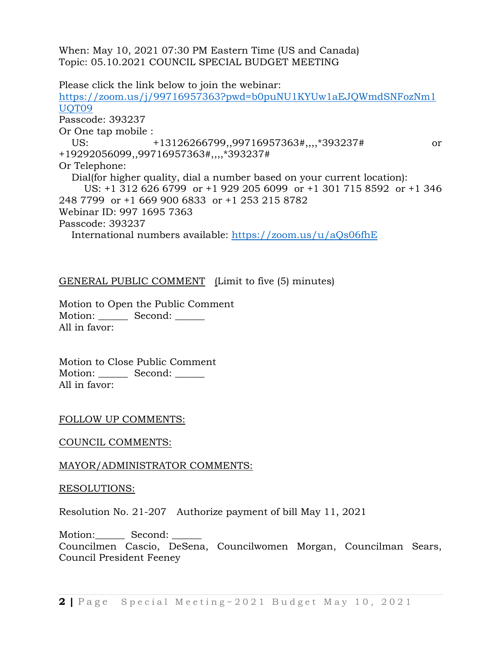When: May 10, 2021 07:30 PM Eastern Time (US and Canada) Topic: 05.10.2021 COUNCIL SPECIAL BUDGET MEETING

Please click the link below to join the webinar: [https://zoom.us/j/99716957363?pwd=b0puNU1KYUw1aEJQWmdSNFozNm1](https://zoom.us/j/99716957363?pwd=b0puNU1KYUw1aEJQWmdSNFozNm1UQT09) [UQT09](https://zoom.us/j/99716957363?pwd=b0puNU1KYUw1aEJQWmdSNFozNm1UQT09) Passcode: 393237 Or One tap mobile : US: +13126266799,,99716957363#,,,,\*393237# or +19292056099,,99716957363#,,,,\*393237# Or Telephone: Dial(for higher quality, dial a number based on your current location): US: +1 312 626 6799 or +1 929 205 6099 or +1 301 715 8592 or +1 346 248 7799 or +1 669 900 6833 or +1 253 215 8782 Webinar ID: 997 1695 7363 Passcode: 393237 International numbers available:<https://zoom.us/u/aQs06fhE>

GENERAL PUBLIC COMMENT (Limit to five (5) minutes)

Motion to Open the Public Comment Motion: Second: \_\_\_\_\_\_\_ All in favor:

Motion to Close Public Comment Motion: Second: \_\_\_\_\_ All in favor:

### FOLLOW UP COMMENTS:

COUNCIL COMMENTS:

### MAYOR/ADMINISTRATOR COMMENTS:

#### RESOLUTIONS:

Resolution No. 21-207 Authorize payment of bill May 11, 2021

Motion: Second: Councilmen Cascio, DeSena, Councilwomen Morgan, Councilman Sears, Council President Feeney